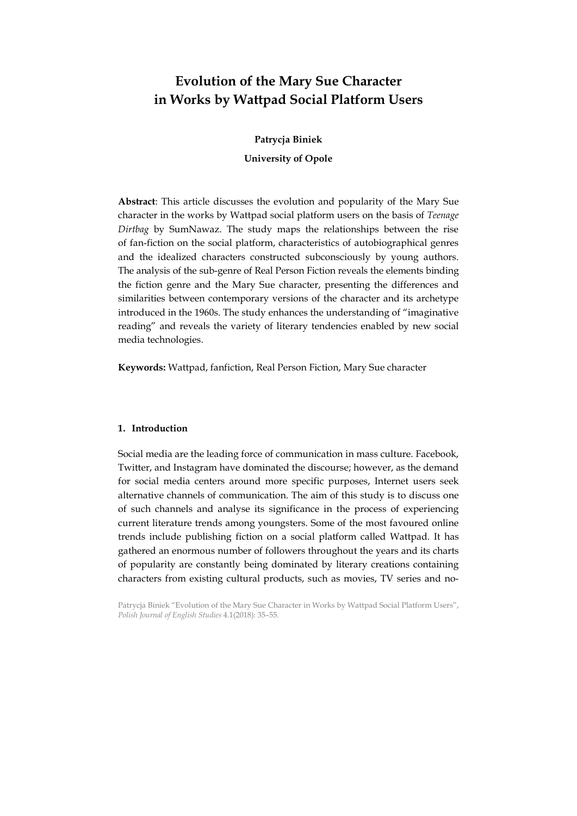# Evolution of the Mary Sue Character in Works by Wattpad Social Platform Users

# Patrycja Biniek

# University of Opole

Abstract: This article discusses the evolution and popularity of the Mary Sue character in the works by Wattpad social platform users on the basis of Teenage Dirtbag by SumNawaz. The study maps the relationships between the rise of fan-fiction on the social platform, characteristics of autobiographical genres and the idealized characters constructed subconsciously by young authors. The analysis of the sub-genre of Real Person Fiction reveals the elements binding the fiction genre and the Mary Sue character, presenting the differences and similarities between contemporary versions of the character and its archetype introduced in the 1960s. The study enhances the understanding of "imaginative reading" and reveals the variety of literary tendencies enabled by new social media technologies.

Keywords: Wattpad, fanfiction, Real Person Fiction, Mary Sue character

# 1. Introduction

Social media are the leading force of communication in mass culture. Facebook, Twitter, and Instagram have dominated the discourse; however, as the demand for social media centers around more specific purposes, Internet users seek alternative channels of communication. The aim of this study is to discuss one of such channels and analyse its significance in the process of experiencing current literature trends among youngsters. Some of the most favoured online trends include publishing fiction on a social platform called Wattpad. It has gathered an enormous number of followers throughout the years and its charts of popularity are constantly being dominated by literary creations containing characters from existing cultural products, such as movies, TV series and no-

Patrycja Biniek "Evolution of the Mary Sue Character in Works by Wattpad Social Platform Users", Polish Journal of English Studies 4.1(2018): 35–55.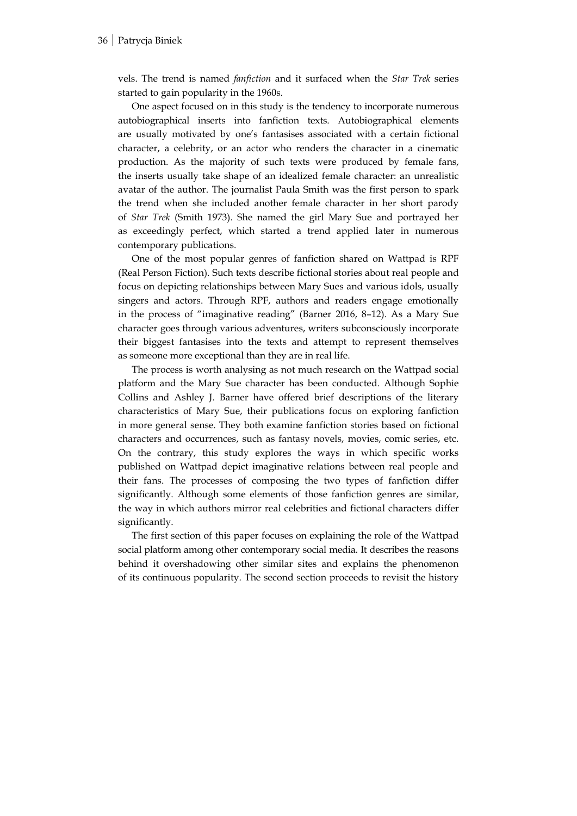vels. The trend is named fanfiction and it surfaced when the Star Trek series started to gain popularity in the 1960s.

One aspect focused on in this study is the tendency to incorporate numerous autobiographical inserts into fanfiction texts. Autobiographical elements are usually motivated by one's fantasises associated with a certain fictional character, a celebrity, or an actor who renders the character in a cinematic production. As the majority of such texts were produced by female fans, the inserts usually take shape of an idealized female character: an unrealistic avatar of the author. The journalist Paula Smith was the first person to spark the trend when she included another female character in her short parody of Star Trek (Smith 1973). She named the girl Mary Sue and portrayed her as exceedingly perfect, which started a trend applied later in numerous contemporary publications.

One of the most popular genres of fanfiction shared on Wattpad is RPF (Real Person Fiction). Such texts describe fictional stories about real people and focus on depicting relationships between Mary Sues and various idols, usually singers and actors. Through RPF, authors and readers engage emotionally in the process of "imaginative reading" (Barner 2016, 8–12). As a Mary Sue character goes through various adventures, writers subconsciously incorporate their biggest fantasises into the texts and attempt to represent themselves as someone more exceptional than they are in real life.

The process is worth analysing as not much research on the Wattpad social platform and the Mary Sue character has been conducted. Although Sophie Collins and Ashley J. Barner have offered brief descriptions of the literary characteristics of Mary Sue, their publications focus on exploring fanfiction in more general sense. They both examine fanfiction stories based on fictional characters and occurrences, such as fantasy novels, movies, comic series, etc. On the contrary, this study explores the ways in which specific works published on Wattpad depict imaginative relations between real people and their fans. The processes of composing the two types of fanfiction differ significantly. Although some elements of those fanfiction genres are similar, the way in which authors mirror real celebrities and fictional characters differ significantly.

The first section of this paper focuses on explaining the role of the Wattpad social platform among other contemporary social media. It describes the reasons behind it overshadowing other similar sites and explains the phenomenon of its continuous popularity. The second section proceeds to revisit the history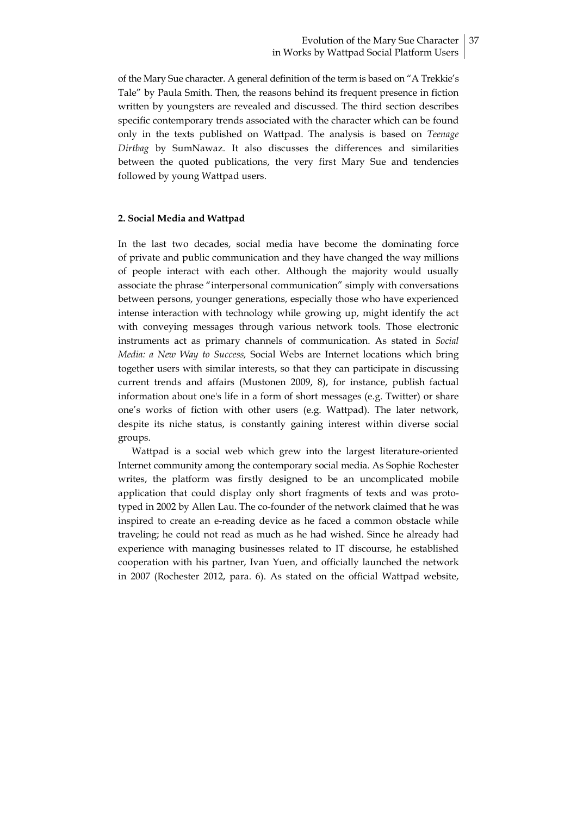of the Mary Sue character. A general definition of the term is based on "A Trekkie's Tale" by Paula Smith. Then, the reasons behind its frequent presence in fiction written by youngsters are revealed and discussed. The third section describes specific contemporary trends associated with the character which can be found only in the texts published on Wattpad. The analysis is based on Teenage Dirtbag by SumNawaz. It also discusses the differences and similarities between the quoted publications, the very first Mary Sue and tendencies followed by young Wattpad users.

#### 2. Social Media and Wattpad

In the last two decades, social media have become the dominating force of private and public communication and they have changed the way millions of people interact with each other. Although the majority would usually associate the phrase "interpersonal communication" simply with conversations between persons, younger generations, especially those who have experienced intense interaction with technology while growing up, might identify the act with conveying messages through various network tools. Those electronic instruments act as primary channels of communication. As stated in Social Media: a New Way to Success, Social Webs are Internet locations which bring together users with similar interests, so that they can participate in discussing current trends and affairs (Mustonen 2009, 8), for instance, publish factual information about one's life in a form of short messages (e.g. Twitter) or share one's works of fiction with other users (e.g. Wattpad). The later network, despite its niche status, is constantly gaining interest within diverse social groups.

Wattpad is a social web which grew into the largest literature-oriented Internet community among the contemporary social media. As Sophie Rochester writes, the platform was firstly designed to be an uncomplicated mobile application that could display only short fragments of texts and was prototyped in 2002 by Allen Lau. The co-founder of the network claimed that he was inspired to create an e-reading device as he faced a common obstacle while traveling; he could not read as much as he had wished. Since he already had experience with managing businesses related to IT discourse, he established cooperation with his partner, Ivan Yuen, and officially launched the network in 2007 (Rochester 2012, para. 6). As stated on the official Wattpad website,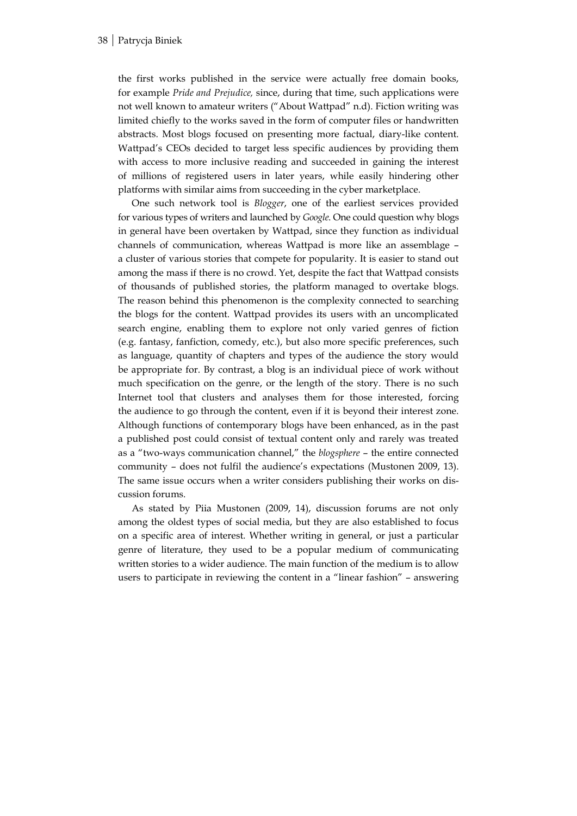the first works published in the service were actually free domain books, for example Pride and Prejudice, since, during that time, such applications were not well known to amateur writers ("About Wattpad" n.d). Fiction writing was limited chiefly to the works saved in the form of computer files or handwritten abstracts. Most blogs focused on presenting more factual, diary-like content. Wattpad's CEOs decided to target less specific audiences by providing them with access to more inclusive reading and succeeded in gaining the interest of millions of registered users in later years, while easily hindering other platforms with similar aims from succeeding in the cyber marketplace.

One such network tool is Blogger, one of the earliest services provided for various types of writers and launched by Google. One could question why blogs in general have been overtaken by Wattpad, since they function as individual channels of communication, whereas Wattpad is more like an assemblage – a cluster of various stories that compete for popularity. It is easier to stand out among the mass if there is no crowd. Yet, despite the fact that Wattpad consists of thousands of published stories, the platform managed to overtake blogs. The reason behind this phenomenon is the complexity connected to searching the blogs for the content. Wattpad provides its users with an uncomplicated search engine, enabling them to explore not only varied genres of fiction (e.g. fantasy, fanfiction, comedy, etc.), but also more specific preferences, such as language, quantity of chapters and types of the audience the story would be appropriate for. By contrast, a blog is an individual piece of work without much specification on the genre, or the length of the story. There is no such Internet tool that clusters and analyses them for those interested, forcing the audience to go through the content, even if it is beyond their interest zone. Although functions of contemporary blogs have been enhanced, as in the past a published post could consist of textual content only and rarely was treated as a "two-ways communication channel," the blogsphere – the entire connected community – does not fulfil the audience's expectations (Mustonen 2009, 13). The same issue occurs when a writer considers publishing their works on discussion forums.

As stated by Piia Mustonen (2009, 14), discussion forums are not only among the oldest types of social media, but they are also established to focus on a specific area of interest. Whether writing in general, or just a particular genre of literature, they used to be a popular medium of communicating written stories to a wider audience. The main function of the medium is to allow users to participate in reviewing the content in a "linear fashion" – answering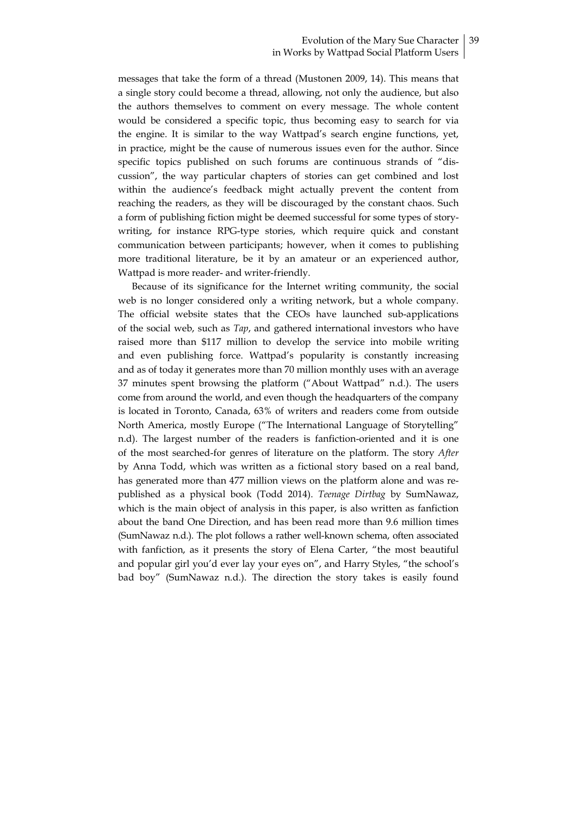#### Evolution of the Mary Sue Character 39 in Works by Wattpad Social Platform Users

messages that take the form of a thread (Mustonen 2009, 14). This means that a single story could become a thread, allowing, not only the audience, but also the authors themselves to comment on every message. The whole content would be considered a specific topic, thus becoming easy to search for via the engine. It is similar to the way Wattpad's search engine functions, yet, in practice, might be the cause of numerous issues even for the author. Since specific topics published on such forums are continuous strands of "discussion", the way particular chapters of stories can get combined and lost within the audience's feedback might actually prevent the content from reaching the readers, as they will be discouraged by the constant chaos. Such a form of publishing fiction might be deemed successful for some types of storywriting, for instance RPG-type stories, which require quick and constant communication between participants; however, when it comes to publishing more traditional literature, be it by an amateur or an experienced author, Wattpad is more reader- and writer-friendly.

Because of its significance for the Internet writing community, the social web is no longer considered only a writing network, but a whole company. The official website states that the CEOs have launched sub-applications of the social web, such as Tap, and gathered international investors who have raised more than \$117 million to develop the service into mobile writing and even publishing force. Wattpad's popularity is constantly increasing and as of today it generates more than 70 million monthly uses with an average 37 minutes spent browsing the platform ("About Wattpad" n.d.). The users come from around the world, and even though the headquarters of the company is located in Toronto, Canada, 63% of writers and readers come from outside North America, mostly Europe ("The International Language of Storytelling" n.d). The largest number of the readers is fanfiction-oriented and it is one of the most searched-for genres of literature on the platform. The story After by Anna Todd, which was written as a fictional story based on a real band, has generated more than 477 million views on the platform alone and was republished as a physical book (Todd 2014). Teenage Dirtbag by SumNawaz, which is the main object of analysis in this paper, is also written as fanfiction about the band One Direction, and has been read more than 9.6 million times (SumNawaz n.d.). The plot follows a rather well-known schema, often associated with fanfiction, as it presents the story of Elena Carter, "the most beautiful and popular girl you'd ever lay your eyes on", and Harry Styles, "the school's bad boy" (SumNawaz n.d.). The direction the story takes is easily found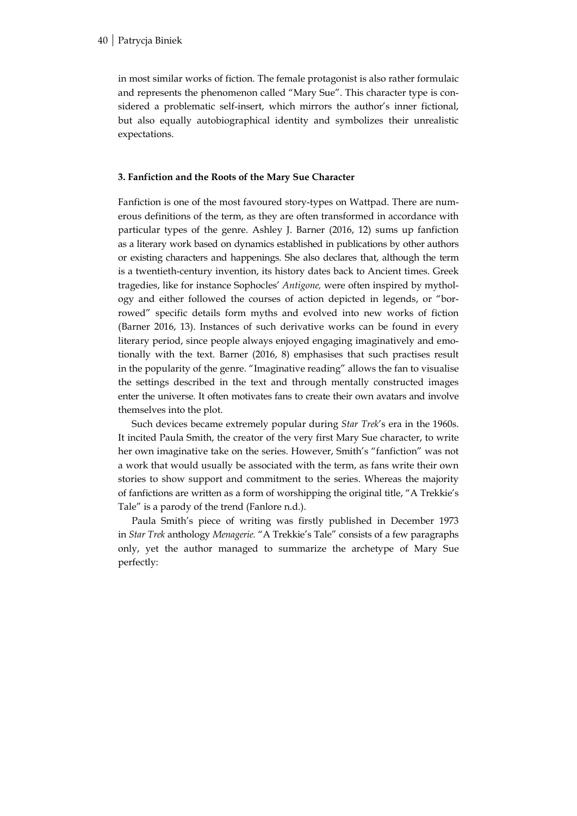#### 40 Patrycja Biniek

in most similar works of fiction. The female protagonist is also rather formulaic and represents the phenomenon called "Mary Sue". This character type is considered a problematic self-insert, which mirrors the author's inner fictional, but also equally autobiographical identity and symbolizes their unrealistic expectations.

# 3. Fanfiction and the Roots of the Mary Sue Character

Fanfiction is one of the most favoured story-types on Wattpad. There are numerous definitions of the term, as they are often transformed in accordance with particular types of the genre. Ashley J. Barner (2016, 12) sums up fanfiction as a literary work based on dynamics established in publications by other authors or existing characters and happenings. She also declares that, although the term is a twentieth-century invention, its history dates back to Ancient times. Greek tragedies, like for instance Sophocles' Antigone, were often inspired by mythology and either followed the courses of action depicted in legends, or "borrowed" specific details form myths and evolved into new works of fiction (Barner 2016, 13). Instances of such derivative works can be found in every literary period, since people always enjoyed engaging imaginatively and emotionally with the text. Barner (2016, 8) emphasises that such practises result in the popularity of the genre. "Imaginative reading" allows the fan to visualise the settings described in the text and through mentally constructed images enter the universe. It often motivates fans to create their own avatars and involve themselves into the plot.

Such devices became extremely popular during Star Trek's era in the 1960s. It incited Paula Smith, the creator of the very first Mary Sue character, to write her own imaginative take on the series. However, Smith's "fanfiction" was not a work that would usually be associated with the term, as fans write their own stories to show support and commitment to the series. Whereas the majority of fanfictions are written as a form of worshipping the original title, "A Trekkie's Tale" is a parody of the trend (Fanlore n.d.).

Paula Smith's piece of writing was firstly published in December 1973 in Star Trek anthology Menagerie. "A Trekkie's Tale" consists of a few paragraphs only, yet the author managed to summarize the archetype of Mary Sue perfectly: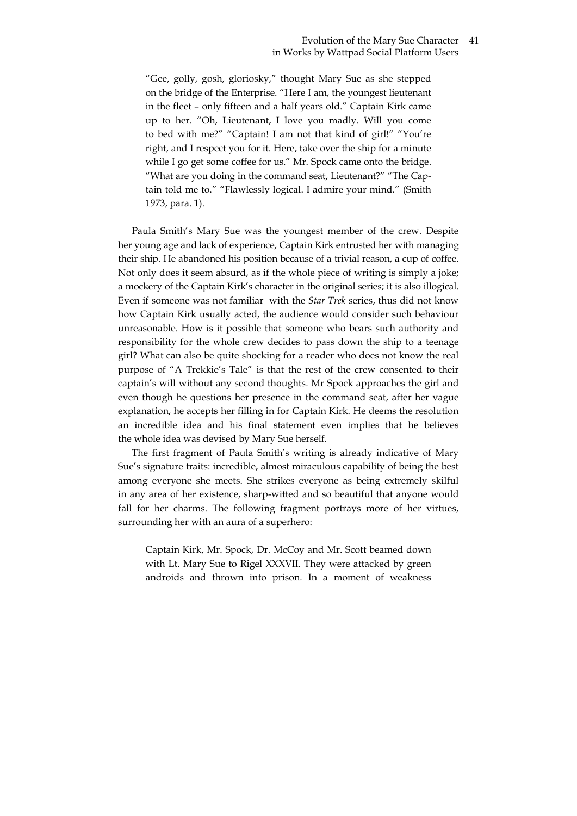"Gee, golly, gosh, gloriosky," thought Mary Sue as she stepped on the bridge of the Enterprise. "Here I am, the youngest lieutenant in the fleet – only fifteen and a half years old." Captain Kirk came up to her. "Oh, Lieutenant, I love you madly. Will you come to bed with me?" "Captain! I am not that kind of girl!" "You're right, and I respect you for it. Here, take over the ship for a minute while I go get some coffee for us." Mr. Spock came onto the bridge. "What are you doing in the command seat, Lieutenant?" "The Captain told me to." "Flawlessly logical. I admire your mind." (Smith 1973, para. 1).

Paula Smith's Mary Sue was the youngest member of the crew. Despite her young age and lack of experience, Captain Kirk entrusted her with managing their ship. He abandoned his position because of a trivial reason, a cup of coffee. Not only does it seem absurd, as if the whole piece of writing is simply a joke; a mockery of the Captain Kirk's character in the original series; it is also illogical. Even if someone was not familiar with the Star Trek series, thus did not know how Captain Kirk usually acted, the audience would consider such behaviour unreasonable. How is it possible that someone who bears such authority and responsibility for the whole crew decides to pass down the ship to a teenage girl? What can also be quite shocking for a reader who does not know the real purpose of "A Trekkie's Tale" is that the rest of the crew consented to their captain's will without any second thoughts. Mr Spock approaches the girl and even though he questions her presence in the command seat, after her vague explanation, he accepts her filling in for Captain Kirk. He deems the resolution an incredible idea and his final statement even implies that he believes the whole idea was devised by Mary Sue herself.

The first fragment of Paula Smith's writing is already indicative of Mary Sue's signature traits: incredible, almost miraculous capability of being the best among everyone she meets. She strikes everyone as being extremely skilful in any area of her existence, sharp-witted and so beautiful that anyone would fall for her charms. The following fragment portrays more of her virtues, surrounding her with an aura of a superhero:

Captain Kirk, Mr. Spock, Dr. McCoy and Mr. Scott beamed down with Lt. Mary Sue to Rigel XXXVII. They were attacked by green androids and thrown into prison. In a moment of weakness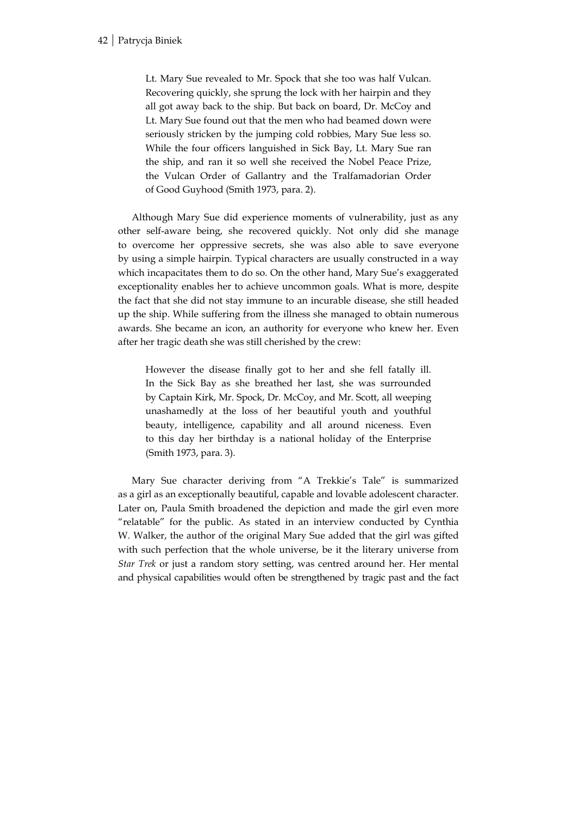Lt. Mary Sue revealed to Mr. Spock that she too was half Vulcan. Recovering quickly, she sprung the lock with her hairpin and they all got away back to the ship. But back on board, Dr. McCoy and Lt. Mary Sue found out that the men who had beamed down were seriously stricken by the jumping cold robbies, Mary Sue less so. While the four officers languished in Sick Bay, Lt. Mary Sue ran the ship, and ran it so well she received the Nobel Peace Prize, the Vulcan Order of Gallantry and the Tralfamadorian Order of Good Guyhood (Smith 1973, para. 2).

Although Mary Sue did experience moments of vulnerability, just as any other self-aware being, she recovered quickly. Not only did she manage to overcome her oppressive secrets, she was also able to save everyone by using a simple hairpin. Typical characters are usually constructed in a way which incapacitates them to do so. On the other hand, Mary Sue's exaggerated exceptionality enables her to achieve uncommon goals. What is more, despite the fact that she did not stay immune to an incurable disease, she still headed up the ship. While suffering from the illness she managed to obtain numerous awards. She became an icon, an authority for everyone who knew her. Even after her tragic death she was still cherished by the crew:

However the disease finally got to her and she fell fatally ill. In the Sick Bay as she breathed her last, she was surrounded by Captain Kirk, Mr. Spock, Dr. McCoy, and Mr. Scott, all weeping unashamedly at the loss of her beautiful youth and youthful beauty, intelligence, capability and all around niceness. Even to this day her birthday is a national holiday of the Enterprise (Smith 1973, para. 3).

Mary Sue character deriving from "A Trekkie's Tale" is summarized as a girl as an exceptionally beautiful, capable and lovable adolescent character. Later on, Paula Smith broadened the depiction and made the girl even more "relatable" for the public. As stated in an interview conducted by Cynthia W. Walker, the author of the original Mary Sue added that the girl was gifted with such perfection that the whole universe, be it the literary universe from Star Trek or just a random story setting, was centred around her. Her mental and physical capabilities would often be strengthened by tragic past and the fact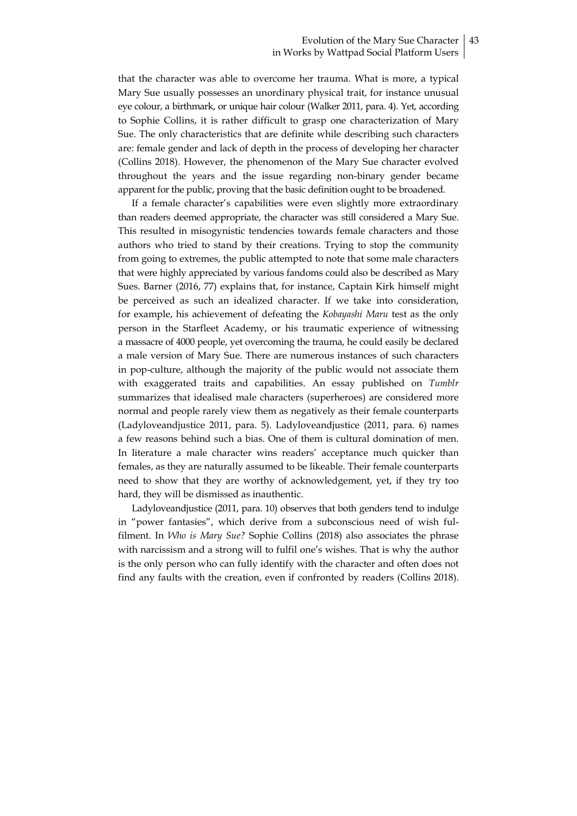that the character was able to overcome her trauma. What is more, a typical Mary Sue usually possesses an unordinary physical trait, for instance unusual eye colour, a birthmark, or unique hair colour (Walker 2011, para. 4). Yet, according to Sophie Collins, it is rather difficult to grasp one characterization of Mary Sue. The only characteristics that are definite while describing such characters are: female gender and lack of depth in the process of developing her character (Collins 2018). However, the phenomenon of the Mary Sue character evolved throughout the years and the issue regarding non-binary gender became apparent for the public, proving that the basic definition ought to be broadened.

If a female character's capabilities were even slightly more extraordinary than readers deemed appropriate, the character was still considered a Mary Sue. This resulted in misogynistic tendencies towards female characters and those authors who tried to stand by their creations. Trying to stop the community from going to extremes, the public attempted to note that some male characters that were highly appreciated by various fandoms could also be described as Mary Sues. Barner (2016, 77) explains that, for instance, Captain Kirk himself might be perceived as such an idealized character. If we take into consideration, for example, his achievement of defeating the Kobayashi Maru test as the only person in the Starfleet Academy, or his traumatic experience of witnessing a massacre of 4000 people, yet overcoming the trauma, he could easily be declared a male version of Mary Sue. There are numerous instances of such characters in pop-culture, although the majority of the public would not associate them with exaggerated traits and capabilities. An essay published on Tumblr summarizes that idealised male characters (superheroes) are considered more normal and people rarely view them as negatively as their female counterparts (Ladyloveandjustice 2011, para. 5). Ladyloveandjustice (2011, para. 6) names a few reasons behind such a bias. One of them is cultural domination of men. In literature a male character wins readers' acceptance much quicker than females, as they are naturally assumed to be likeable. Their female counterparts need to show that they are worthy of acknowledgement, yet, if they try too hard, they will be dismissed as inauthentic.

Ladyloveandjustice (2011, para. 10) observes that both genders tend to indulge in "power fantasies", which derive from a subconscious need of wish fulfilment. In Who is Mary Sue? Sophie Collins (2018) also associates the phrase with narcissism and a strong will to fulfil one's wishes. That is why the author is the only person who can fully identify with the character and often does not find any faults with the creation, even if confronted by readers (Collins 2018).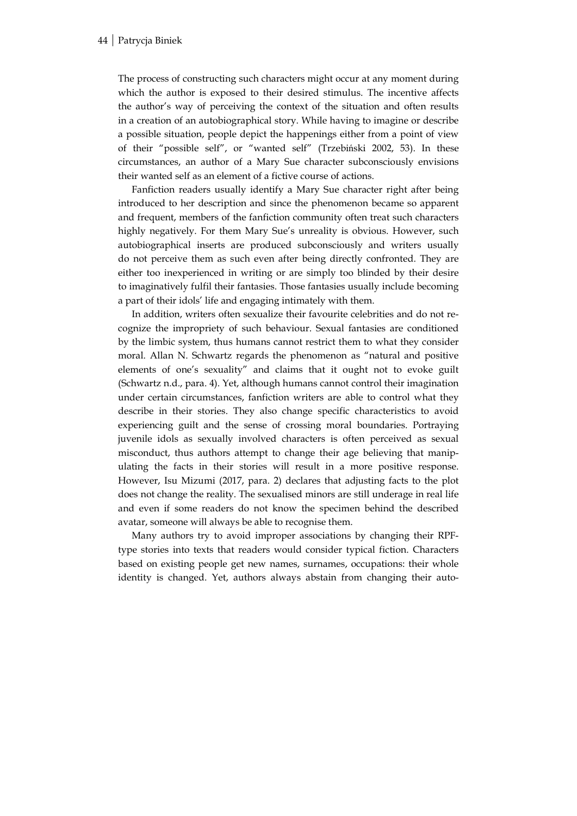The process of constructing such characters might occur at any moment during which the author is exposed to their desired stimulus. The incentive affects the author's way of perceiving the context of the situation and often results in a creation of an autobiographical story. While having to imagine or describe a possible situation, people depict the happenings either from a point of view of their "possible self", or "wanted self" (Trzebiński 2002, 53). In these circumstances, an author of a Mary Sue character subconsciously envisions their wanted self as an element of a fictive course of actions.

Fanfiction readers usually identify a Mary Sue character right after being introduced to her description and since the phenomenon became so apparent and frequent, members of the fanfiction community often treat such characters highly negatively. For them Mary Sue's unreality is obvious. However, such autobiographical inserts are produced subconsciously and writers usually do not perceive them as such even after being directly confronted. They are either too inexperienced in writing or are simply too blinded by their desire to imaginatively fulfil their fantasies. Those fantasies usually include becoming a part of their idols' life and engaging intimately with them.

In addition, writers often sexualize their favourite celebrities and do not recognize the impropriety of such behaviour. Sexual fantasies are conditioned by the limbic system, thus humans cannot restrict them to what they consider moral. Allan N. Schwartz regards the phenomenon as "natural and positive elements of one's sexuality" and claims that it ought not to evoke guilt (Schwartz n.d., para. 4). Yet, although humans cannot control their imagination under certain circumstances, fanfiction writers are able to control what they describe in their stories. They also change specific characteristics to avoid experiencing guilt and the sense of crossing moral boundaries. Portraying juvenile idols as sexually involved characters is often perceived as sexual misconduct, thus authors attempt to change their age believing that manipulating the facts in their stories will result in a more positive response. However, Isu Mizumi (2017, para. 2) declares that adjusting facts to the plot does not change the reality. The sexualised minors are still underage in real life and even if some readers do not know the specimen behind the described avatar, someone will always be able to recognise them.

Many authors try to avoid improper associations by changing their RPFtype stories into texts that readers would consider typical fiction. Characters based on existing people get new names, surnames, occupations: their whole identity is changed. Yet, authors always abstain from changing their auto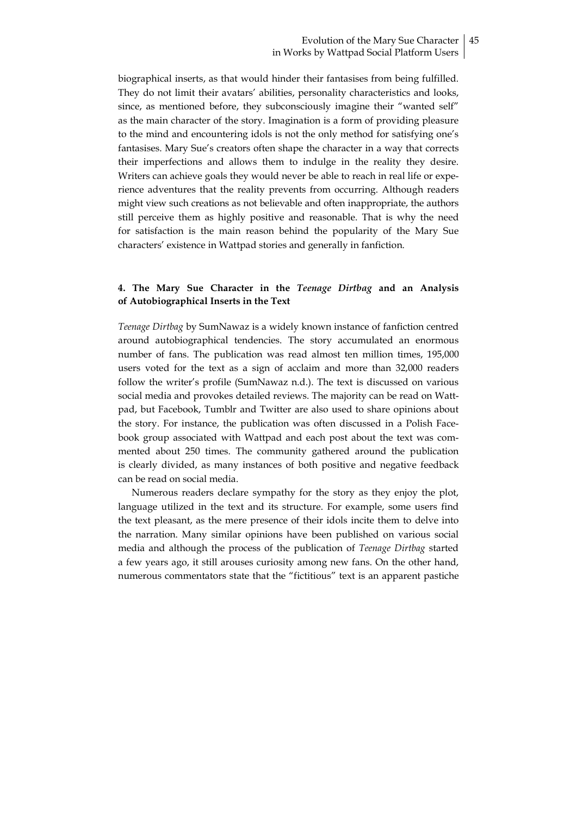biographical inserts, as that would hinder their fantasises from being fulfilled. They do not limit their avatars' abilities, personality characteristics and looks, since, as mentioned before, they subconsciously imagine their "wanted self" as the main character of the story. Imagination is a form of providing pleasure to the mind and encountering idols is not the only method for satisfying one's fantasises. Mary Sue's creators often shape the character in a way that corrects their imperfections and allows them to indulge in the reality they desire. Writers can achieve goals they would never be able to reach in real life or experience adventures that the reality prevents from occurring. Although readers might view such creations as not believable and often inappropriate, the authors still perceive them as highly positive and reasonable. That is why the need for satisfaction is the main reason behind the popularity of the Mary Sue characters' existence in Wattpad stories and generally in fanfiction.

# 4. The Mary Sue Character in the Teenage Dirtbag and an Analysis of Autobiographical Inserts in the Text

Teenage Dirtbag by SumNawaz is a widely known instance of fanfiction centred around autobiographical tendencies. The story accumulated an enormous number of fans. The publication was read almost ten million times, 195,000 users voted for the text as a sign of acclaim and more than 32,000 readers follow the writer's profile (SumNawaz n.d.). The text is discussed on various social media and provokes detailed reviews. The majority can be read on Wattpad, but Facebook, Tumblr and Twitter are also used to share opinions about the story. For instance, the publication was often discussed in a Polish Facebook group associated with Wattpad and each post about the text was commented about 250 times. The community gathered around the publication is clearly divided, as many instances of both positive and negative feedback can be read on social media.

Numerous readers declare sympathy for the story as they enjoy the plot, language utilized in the text and its structure. For example, some users find the text pleasant, as the mere presence of their idols incite them to delve into the narration. Many similar opinions have been published on various social media and although the process of the publication of Teenage Dirtbag started a few years ago, it still arouses curiosity among new fans. On the other hand, numerous commentators state that the "fictitious" text is an apparent pastiche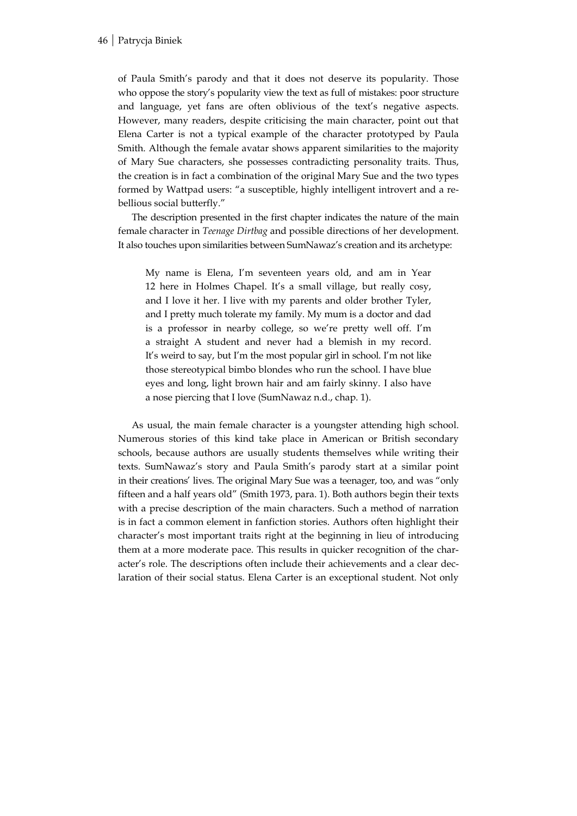of Paula Smith's parody and that it does not deserve its popularity. Those who oppose the story's popularity view the text as full of mistakes: poor structure and language, yet fans are often oblivious of the text's negative aspects. However, many readers, despite criticising the main character, point out that Elena Carter is not a typical example of the character prototyped by Paula Smith. Although the female avatar shows apparent similarities to the majority of Mary Sue characters, she possesses contradicting personality traits. Thus, the creation is in fact a combination of the original Mary Sue and the two types formed by Wattpad users: "a susceptible, highly intelligent introvert and a rebellious social butterfly."

The description presented in the first chapter indicates the nature of the main female character in Teenage Dirtbag and possible directions of her development. It also touches upon similarities between SumNawaz's creation and its archetype:

My name is Elena, I'm seventeen years old, and am in Year 12 here in Holmes Chapel. It's a small village, but really cosy, and I love it her. I live with my parents and older brother Tyler, and I pretty much tolerate my family. My mum is a doctor and dad is a professor in nearby college, so we're pretty well off. I'm a straight A student and never had a blemish in my record. It's weird to say, but I'm the most popular girl in school. I'm not like those stereotypical bimbo blondes who run the school. I have blue eyes and long, light brown hair and am fairly skinny. I also have a nose piercing that I love (SumNawaz n.d., chap. 1).

As usual, the main female character is a youngster attending high school. Numerous stories of this kind take place in American or British secondary schools, because authors are usually students themselves while writing their texts. SumNawaz's story and Paula Smith's parody start at a similar point in their creations' lives. The original Mary Sue was a teenager, too, and was "only fifteen and a half years old" (Smith 1973, para. 1). Both authors begin their texts with a precise description of the main characters. Such a method of narration is in fact a common element in fanfiction stories. Authors often highlight their character's most important traits right at the beginning in lieu of introducing them at a more moderate pace. This results in quicker recognition of the character's role. The descriptions often include their achievements and a clear declaration of their social status. Elena Carter is an exceptional student. Not only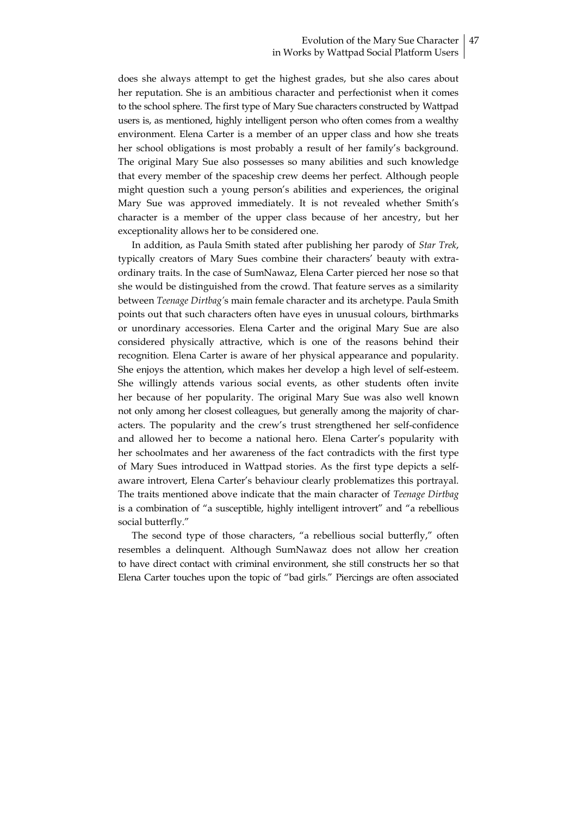does she always attempt to get the highest grades, but she also cares about her reputation. She is an ambitious character and perfectionist when it comes to the school sphere. The first type of Mary Sue characters constructed by Wattpad users is, as mentioned, highly intelligent person who often comes from a wealthy environment. Elena Carter is a member of an upper class and how she treats her school obligations is most probably a result of her family's background. The original Mary Sue also possesses so many abilities and such knowledge that every member of the spaceship crew deems her perfect. Although people might question such a young person's abilities and experiences, the original Mary Sue was approved immediately. It is not revealed whether Smith's character is a member of the upper class because of her ancestry, but her exceptionality allows her to be considered one.

In addition, as Paula Smith stated after publishing her parody of Star Trek, typically creators of Mary Sues combine their characters' beauty with extraordinary traits. In the case of SumNawaz, Elena Carter pierced her nose so that she would be distinguished from the crowd. That feature serves as a similarity between Teenage Dirtbag's main female character and its archetype. Paula Smith points out that such characters often have eyes in unusual colours, birthmarks or unordinary accessories. Elena Carter and the original Mary Sue are also considered physically attractive, which is one of the reasons behind their recognition. Elena Carter is aware of her physical appearance and popularity. She enjoys the attention, which makes her develop a high level of self-esteem. She willingly attends various social events, as other students often invite her because of her popularity. The original Mary Sue was also well known not only among her closest colleagues, but generally among the majority of characters. The popularity and the crew's trust strengthened her self-confidence and allowed her to become a national hero. Elena Carter's popularity with her schoolmates and her awareness of the fact contradicts with the first type of Mary Sues introduced in Wattpad stories. As the first type depicts a selfaware introvert, Elena Carter's behaviour clearly problematizes this portrayal. The traits mentioned above indicate that the main character of Teenage Dirtbag is a combination of "a susceptible, highly intelligent introvert" and "a rebellious social butterfly."

The second type of those characters, "a rebellious social butterfly," often resembles a delinquent. Although SumNawaz does not allow her creation to have direct contact with criminal environment, she still constructs her so that Elena Carter touches upon the topic of "bad girls." Piercings are often associated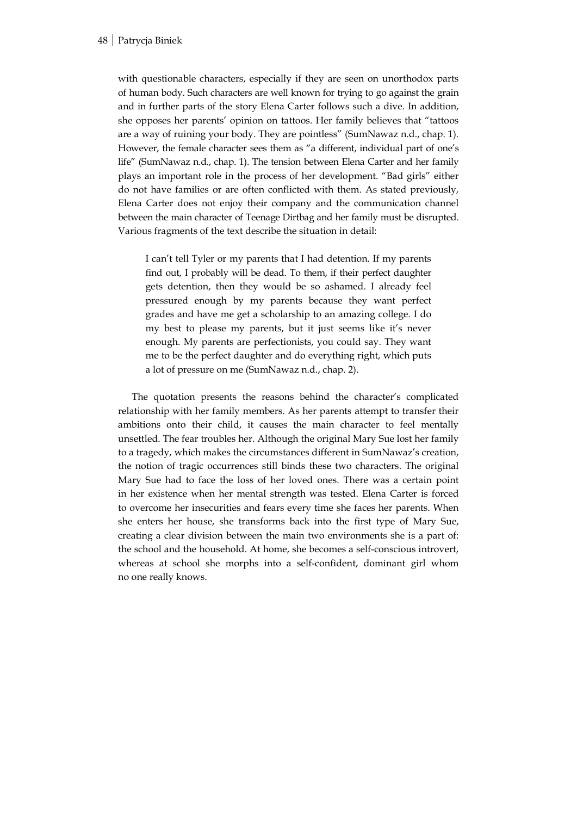with questionable characters, especially if they are seen on unorthodox parts of human body. Such characters are well known for trying to go against the grain and in further parts of the story Elena Carter follows such a dive. In addition, she opposes her parents' opinion on tattoos. Her family believes that "tattoos are a way of ruining your body. They are pointless" (SumNawaz n.d., chap. 1). However, the female character sees them as "a different, individual part of one's life" (SumNawaz n.d., chap. 1). The tension between Elena Carter and her family plays an important role in the process of her development. "Bad girls" either do not have families or are often conflicted with them. As stated previously, Elena Carter does not enjoy their company and the communication channel between the main character of Teenage Dirtbag and her family must be disrupted. Various fragments of the text describe the situation in detail:

I can't tell Tyler or my parents that I had detention. If my parents find out, I probably will be dead. To them, if their perfect daughter gets detention, then they would be so ashamed. I already feel pressured enough by my parents because they want perfect grades and have me get a scholarship to an amazing college. I do my best to please my parents, but it just seems like it's never enough. My parents are perfectionists, you could say. They want me to be the perfect daughter and do everything right, which puts a lot of pressure on me (SumNawaz n.d., chap. 2).

The quotation presents the reasons behind the character's complicated relationship with her family members. As her parents attempt to transfer their ambitions onto their child, it causes the main character to feel mentally unsettled. The fear troubles her. Although the original Mary Sue lost her family to a tragedy, which makes the circumstances different in SumNawaz's creation, the notion of tragic occurrences still binds these two characters. The original Mary Sue had to face the loss of her loved ones. There was a certain point in her existence when her mental strength was tested. Elena Carter is forced to overcome her insecurities and fears every time she faces her parents. When she enters her house, she transforms back into the first type of Mary Sue, creating a clear division between the main two environments she is a part of: the school and the household. At home, she becomes a self-conscious introvert, whereas at school she morphs into a self-confident, dominant girl whom no one really knows.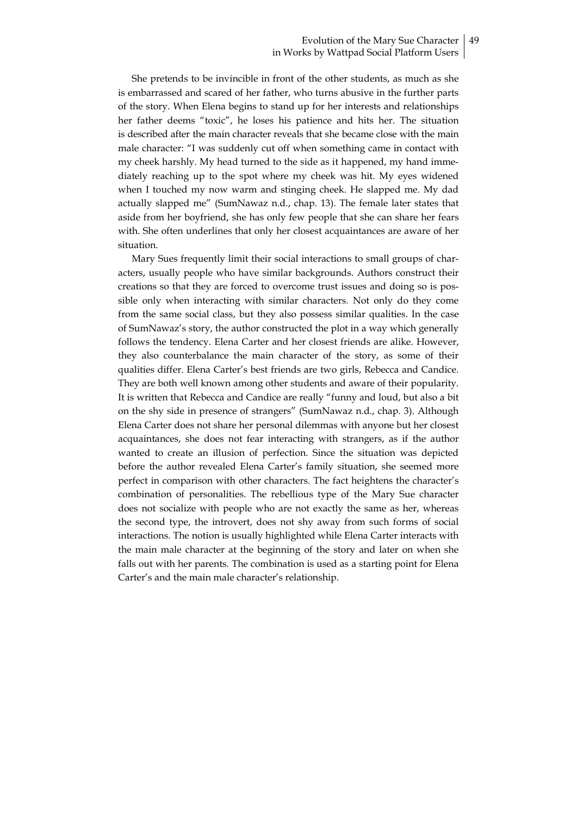# Evolution of the Mary Sue Character 49 in Works by Wattpad Social Platform Users

She pretends to be invincible in front of the other students, as much as she is embarrassed and scared of her father, who turns abusive in the further parts of the story. When Elena begins to stand up for her interests and relationships her father deems "toxic", he loses his patience and hits her. The situation is described after the main character reveals that she became close with the main male character: "I was suddenly cut off when something came in contact with my cheek harshly. My head turned to the side as it happened, my hand immediately reaching up to the spot where my cheek was hit. My eyes widened when I touched my now warm and stinging cheek. He slapped me. My dad actually slapped me" (SumNawaz n.d., chap. 13). The female later states that aside from her boyfriend, she has only few people that she can share her fears with. She often underlines that only her closest acquaintances are aware of her situation.

Mary Sues frequently limit their social interactions to small groups of characters, usually people who have similar backgrounds. Authors construct their creations so that they are forced to overcome trust issues and doing so is possible only when interacting with similar characters. Not only do they come from the same social class, but they also possess similar qualities. In the case of SumNawaz's story, the author constructed the plot in a way which generally follows the tendency. Elena Carter and her closest friends are alike. However, they also counterbalance the main character of the story, as some of their qualities differ. Elena Carter's best friends are two girls, Rebecca and Candice. They are both well known among other students and aware of their popularity. It is written that Rebecca and Candice are really "funny and loud, but also a bit on the shy side in presence of strangers" (SumNawaz n.d., chap. 3). Although Elena Carter does not share her personal dilemmas with anyone but her closest acquaintances, she does not fear interacting with strangers, as if the author wanted to create an illusion of perfection. Since the situation was depicted before the author revealed Elena Carter's family situation, she seemed more perfect in comparison with other characters. The fact heightens the character's combination of personalities. The rebellious type of the Mary Sue character does not socialize with people who are not exactly the same as her, whereas the second type, the introvert, does not shy away from such forms of social interactions. The notion is usually highlighted while Elena Carter interacts with the main male character at the beginning of the story and later on when she falls out with her parents. The combination is used as a starting point for Elena Carter's and the main male character's relationship.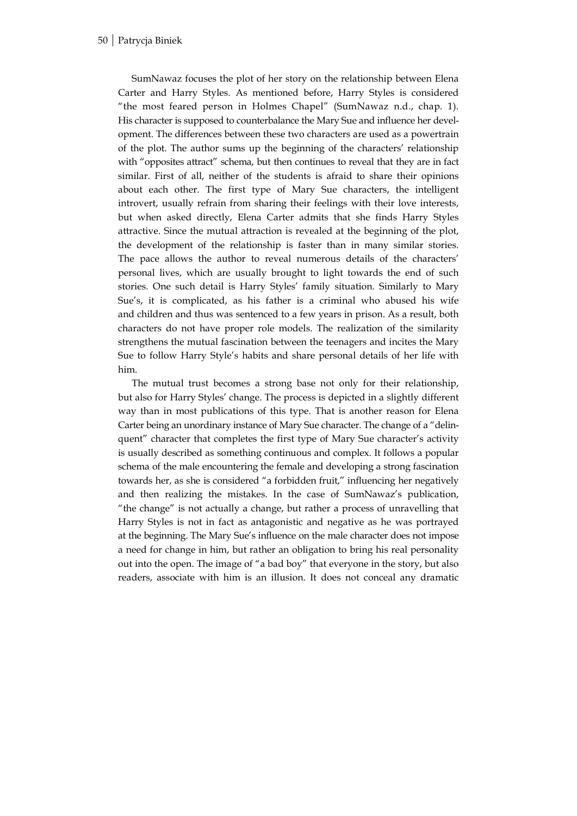SumNawaz focuses the plot of her story on the relationship between Elena Carter and Harry Styles. As mentioned before, Harry Styles is considered "the most feared person in Holmes Chapel" (SumNawaz n.d., chap. 1). His character is supposed to counterbalance the Mary Sue and influence her development. The differences between these two characters are used as a powertrain of the plot. The author sums up the beginning of the characters' relationship with "opposites attract" schema, but then continues to reveal that they are in fact similar. First of all, neither of the students is afraid to share their opinions about each other. The first type of Mary Sue characters, the intelligent introvert, usually refrain from sharing their feelings with their love interests, but when asked directly, Elena Carter admits that she finds Harry Styles attractive. Since the mutual attraction is revealed at the beginning of the plot, the development of the relationship is faster than in many similar stories. The pace allows the author to reveal numerous details of the characters' personal lives, which are usually brought to light towards the end of such stories. One such detail is Harry Styles' family situation. Similarly to Mary Sue's, it is complicated, as his father is a criminal who abused his wife and children and thus was sentenced to a few years in prison. As a result, both characters do not have proper role models. The realization of the similarity strengthens the mutual fascination between the teenagers and incites the Mary Sue to follow Harry Style's habits and share personal details of her life with him.

The mutual trust becomes a strong base not only for their relationship, but also for Harry Styles' change. The process is depicted in a slightly different way than in most publications of this type. That is another reason for Elena Carter being an unordinary instance of Mary Sue character. The change of a "delinquent" character that completes the first type of Mary Sue character's activity is usually described as something continuous and complex. It follows a popular schema of the male encountering the female and developing a strong fascination towards her, as she is considered "a forbidden fruit," influencing her negatively and then realizing the mistakes. In the case of SumNawaz's publication, "the change" is not actually a change, but rather a process of unravelling that Harry Styles is not in fact as antagonistic and negative as he was portrayed at the beginning. The Mary Sue's influence on the male character does not impose a need for change in him, but rather an obligation to bring his real personality out into the open. The image of "a bad boy" that everyone in the story, but also readers, associate with him is an illusion. It does not conceal any dramatic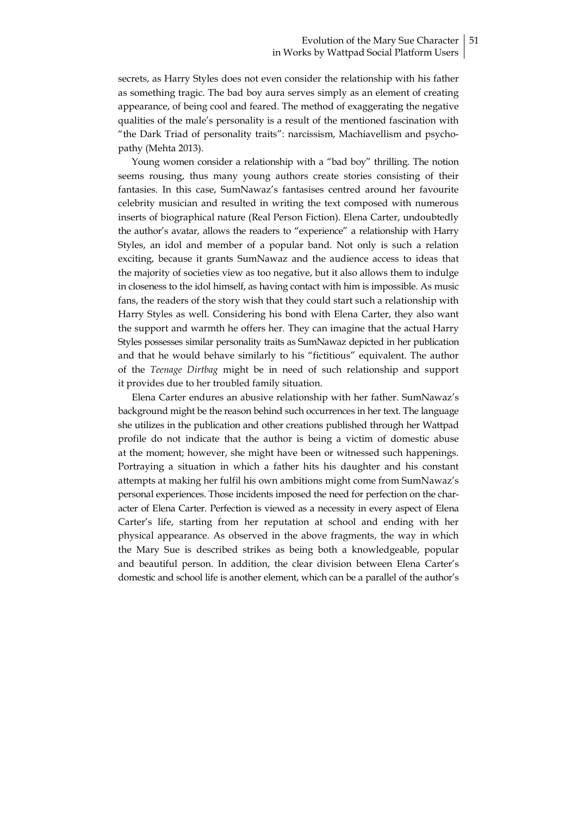secrets, as Harry Styles does not even consider the relationship with his father as something tragic. The bad boy aura serves simply as an element of creating appearance, of being cool and feared. The method of exaggerating the negative qualities of the male's personality is a result of the mentioned fascination with "the Dark Triad of personality traits": narcissism, Machiavellism and psychopathy (Mehta 2013).

Young women consider a relationship with a "bad boy" thrilling. The notion seems rousing, thus many young authors create stories consisting of their fantasies. In this case, SumNawaz's fantasises centred around her favourite celebrity musician and resulted in writing the text composed with numerous inserts of biographical nature (Real Person Fiction). Elena Carter, undoubtedly the author's avatar, allows the readers to "experience" a relationship with Harry Styles, an idol and member of a popular band. Not only is such a relation exciting, because it grants SumNawaz and the audience access to ideas that the majority of societies view as too negative, but it also allows them to indulge in closeness to the idol himself, as having contact with him is impossible. As music fans, the readers of the story wish that they could start such a relationship with Harry Styles as well. Considering his bond with Elena Carter, they also want the support and warmth he offers her. They can imagine that the actual Harry Styles possesses similar personality traits as SumNawaz depicted in her publication and that he would behave similarly to his "fictitious" equivalent. The author of the Teenage Dirtbag might be in need of such relationship and support it provides due to her troubled family situation.

Elena Carter endures an abusive relationship with her father. SumNawaz's background might be the reason behind such occurrences in her text. The language she utilizes in the publication and other creations published through her Wattpad profile do not indicate that the author is being a victim of domestic abuse at the moment; however, she might have been or witnessed such happenings. Portraying a situation in which a father hits his daughter and his constant attempts at making her fulfil his own ambitions might come from SumNawaz's personal experiences. Those incidents imposed the need for perfection on the character of Elena Carter. Perfection is viewed as a necessity in every aspect of Elena Carter's life, starting from her reputation at school and ending with her physical appearance. As observed in the above fragments, the way in which the Mary Sue is described strikes as being both a knowledgeable, popular and beautiful person. In addition, the clear division between Elena Carter's domestic and school life is another element, which can be a parallel of the author's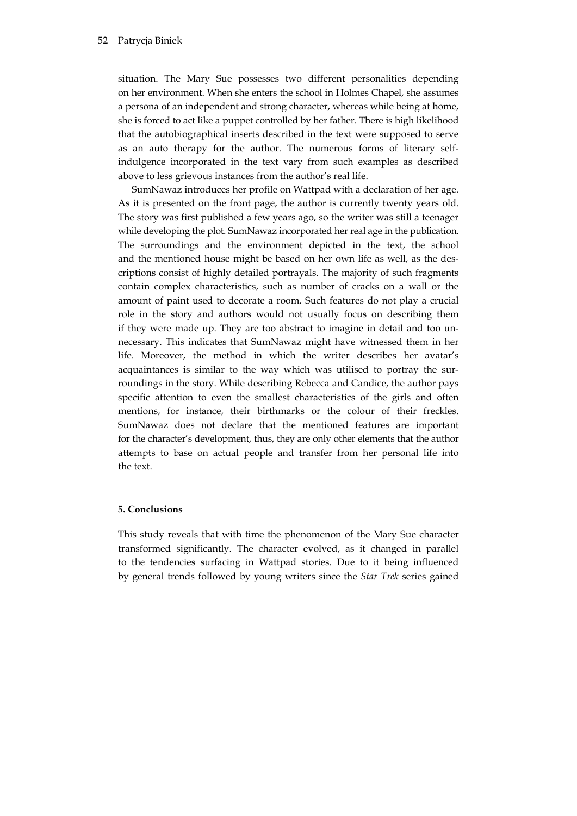situation. The Mary Sue possesses two different personalities depending on her environment. When she enters the school in Holmes Chapel, she assumes a persona of an independent and strong character, whereas while being at home, she is forced to act like a puppet controlled by her father. There is high likelihood that the autobiographical inserts described in the text were supposed to serve as an auto therapy for the author. The numerous forms of literary selfindulgence incorporated in the text vary from such examples as described above to less grievous instances from the author's real life.

SumNawaz introduces her profile on Wattpad with a declaration of her age. As it is presented on the front page, the author is currently twenty years old. The story was first published a few years ago, so the writer was still a teenager while developing the plot. SumNawaz incorporated her real age in the publication. The surroundings and the environment depicted in the text, the school and the mentioned house might be based on her own life as well, as the descriptions consist of highly detailed portrayals. The majority of such fragments contain complex characteristics, such as number of cracks on a wall or the amount of paint used to decorate a room. Such features do not play a crucial role in the story and authors would not usually focus on describing them if they were made up. They are too abstract to imagine in detail and too unnecessary. This indicates that SumNawaz might have witnessed them in her life. Moreover, the method in which the writer describes her avatar's acquaintances is similar to the way which was utilised to portray the surroundings in the story. While describing Rebecca and Candice, the author pays specific attention to even the smallest characteristics of the girls and often mentions, for instance, their birthmarks or the colour of their freckles. SumNawaz does not declare that the mentioned features are important for the character's development, thus, they are only other elements that the author attempts to base on actual people and transfer from her personal life into the text.

# 5. Conclusions

This study reveals that with time the phenomenon of the Mary Sue character transformed significantly. The character evolved, as it changed in parallel to the tendencies surfacing in Wattpad stories. Due to it being influenced by general trends followed by young writers since the Star Trek series gained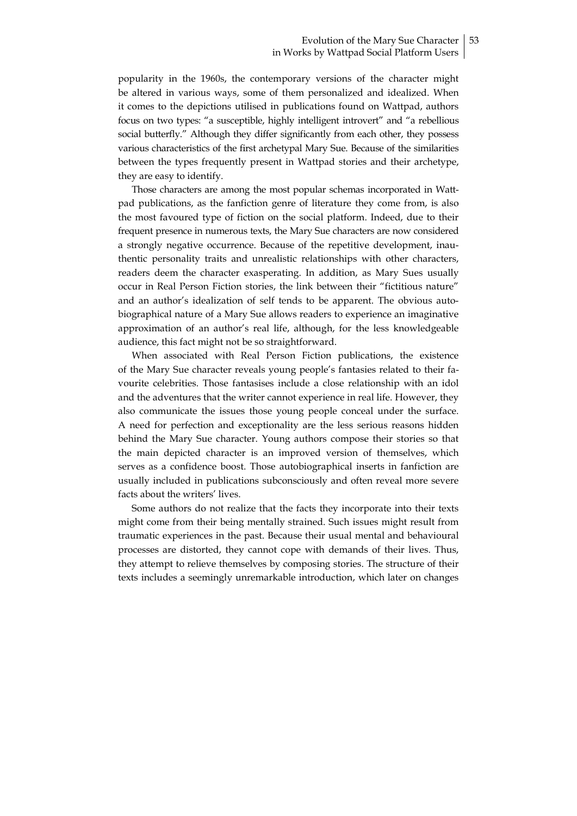popularity in the 1960s, the contemporary versions of the character might be altered in various ways, some of them personalized and idealized. When it comes to the depictions utilised in publications found on Wattpad, authors focus on two types: "a susceptible, highly intelligent introvert" and "a rebellious social butterfly." Although they differ significantly from each other, they possess various characteristics of the first archetypal Mary Sue. Because of the similarities between the types frequently present in Wattpad stories and their archetype, they are easy to identify.

Those characters are among the most popular schemas incorporated in Wattpad publications, as the fanfiction genre of literature they come from, is also the most favoured type of fiction on the social platform. Indeed, due to their frequent presence in numerous texts, the Mary Sue characters are now considered a strongly negative occurrence. Because of the repetitive development, inauthentic personality traits and unrealistic relationships with other characters, readers deem the character exasperating. In addition, as Mary Sues usually occur in Real Person Fiction stories, the link between their "fictitious nature" and an author's idealization of self tends to be apparent. The obvious autobiographical nature of a Mary Sue allows readers to experience an imaginative approximation of an author's real life, although, for the less knowledgeable audience, this fact might not be so straightforward.

When associated with Real Person Fiction publications, the existence of the Mary Sue character reveals young people's fantasies related to their favourite celebrities. Those fantasises include a close relationship with an idol and the adventures that the writer cannot experience in real life. However, they also communicate the issues those young people conceal under the surface. A need for perfection and exceptionality are the less serious reasons hidden behind the Mary Sue character. Young authors compose their stories so that the main depicted character is an improved version of themselves, which serves as a confidence boost. Those autobiographical inserts in fanfiction are usually included in publications subconsciously and often reveal more severe facts about the writers' lives.

Some authors do not realize that the facts they incorporate into their texts might come from their being mentally strained. Such issues might result from traumatic experiences in the past. Because their usual mental and behavioural processes are distorted, they cannot cope with demands of their lives. Thus, they attempt to relieve themselves by composing stories. The structure of their texts includes a seemingly unremarkable introduction, which later on changes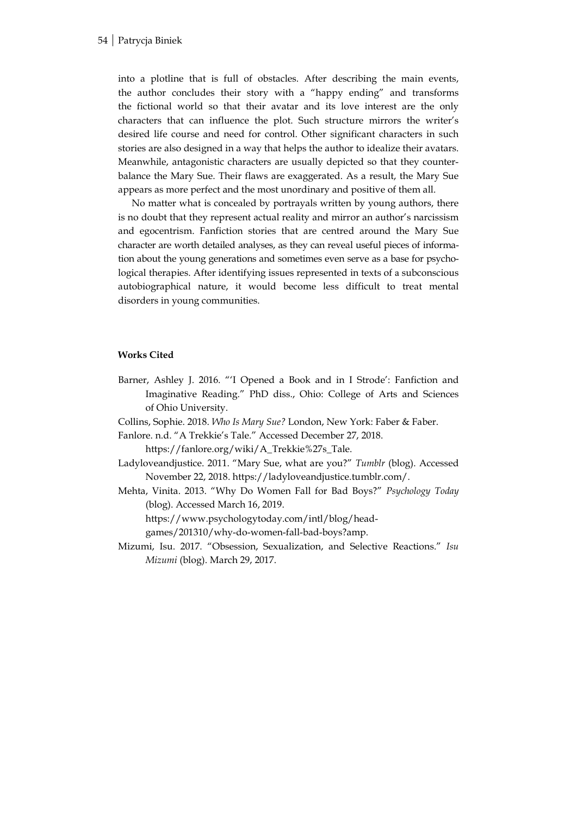into a plotline that is full of obstacles. After describing the main events, the author concludes their story with a "happy ending" and transforms the fictional world so that their avatar and its love interest are the only characters that can influence the plot. Such structure mirrors the writer's desired life course and need for control. Other significant characters in such stories are also designed in a way that helps the author to idealize their avatars. Meanwhile, antagonistic characters are usually depicted so that they counterbalance the Mary Sue. Their flaws are exaggerated. As a result, the Mary Sue appears as more perfect and the most unordinary and positive of them all.

No matter what is concealed by portrayals written by young authors, there is no doubt that they represent actual reality and mirror an author's narcissism and egocentrism. Fanfiction stories that are centred around the Mary Sue character are worth detailed analyses, as they can reveal useful pieces of information about the young generations and sometimes even serve as a base for psychological therapies. After identifying issues represented in texts of a subconscious autobiographical nature, it would become less difficult to treat mental disorders in young communities.

#### Works Cited

Barner, Ashley J. 2016. "'I Opened a Book and in I Strode': Fanfiction and Imaginative Reading." PhD diss., Ohio: College of Arts and Sciences of Ohio University.

Collins, Sophie. 2018. Who Is Mary Sue? London, New York: Faber & Faber.

Fanlore. n.d. "A Trekkie's Tale." Accessed December 27, 2018.

https://fanlore.org/wiki/A\_Trekkie%27s\_Tale.

- Ladyloveandjustice. 2011. "Mary Sue, what are you?" Tumblr (blog). Accessed November 22, 2018. https://ladyloveandjustice.tumblr.com/.
- Mehta, Vinita. 2013. "Why Do Women Fall for Bad Boys?" Psychology Today (blog). Accessed March 16, 2019.

https://www.psychologytoday.com/intl/blog/head-

games/201310/why-do-women-fall-bad-boys?amp.

Mizumi, Isu. 2017. "Obsession, Sexualization, and Selective Reactions." Isu Mizumi (blog). March 29, 2017.